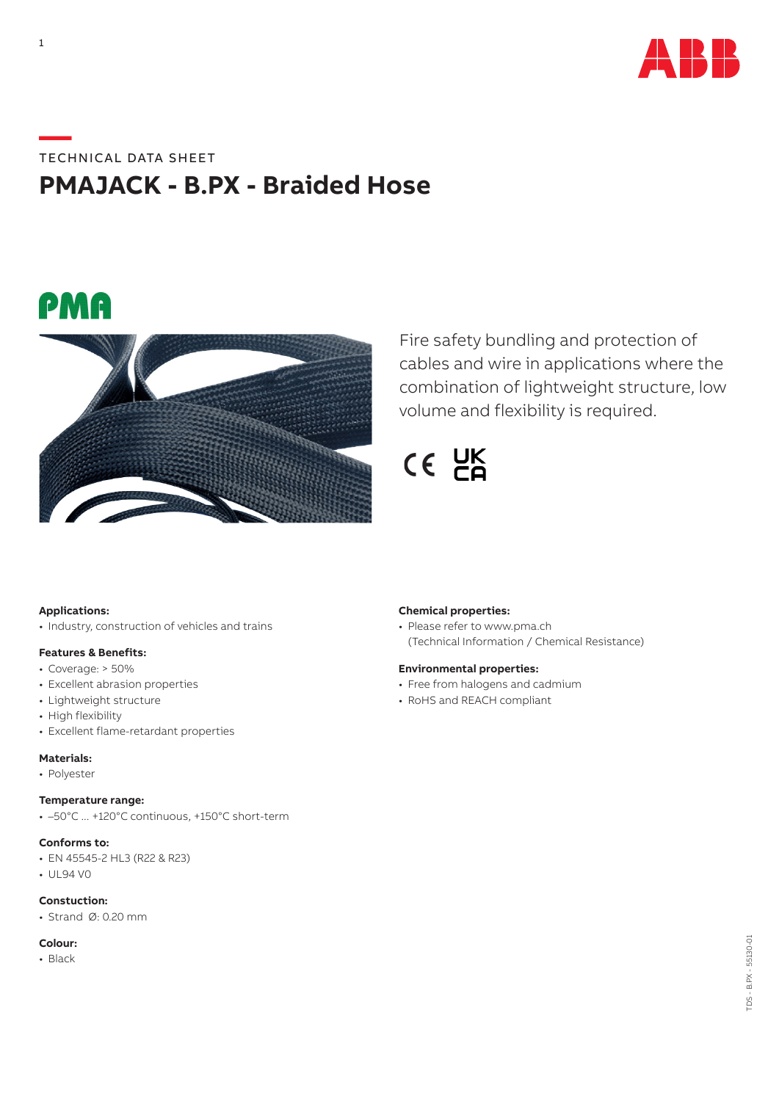

# **—**TECHNICAL DATA SHEET **PMAJACK - B.PX - Braided Hose**





Fire safety bundling and protection of cables and wire in applications where the combination of lightweight structure, low volume and flexibility is required.

 $CE$   $CE$ 

# **Applications:**

• Industry, construction of vehicles and trains

# **Features & Benefits:**

- Coverage: > 50%
- Excellent abrasion properties
- Lightweight structure
- High flexibility
- Excellent flame-retardant properties

# **Materials:**

• Polyester

### **Temperature range:**

• –50°C ... +120°C continuous, +150°C short-term

#### **Conforms to:**

- EN 45545-2 HL3 (R22 & R23)
- UL94 V0

# **Constuction:**

• Strand Ø: 0.20 mm

# **Colour:**

• Black

# **Chemical properties:**

• Please refer to www.pma.ch (Technical Information / Chemical Resistance)

#### **Environmental properties:**

- Free from halogens and cadmium
- RoHS and REACH compliant